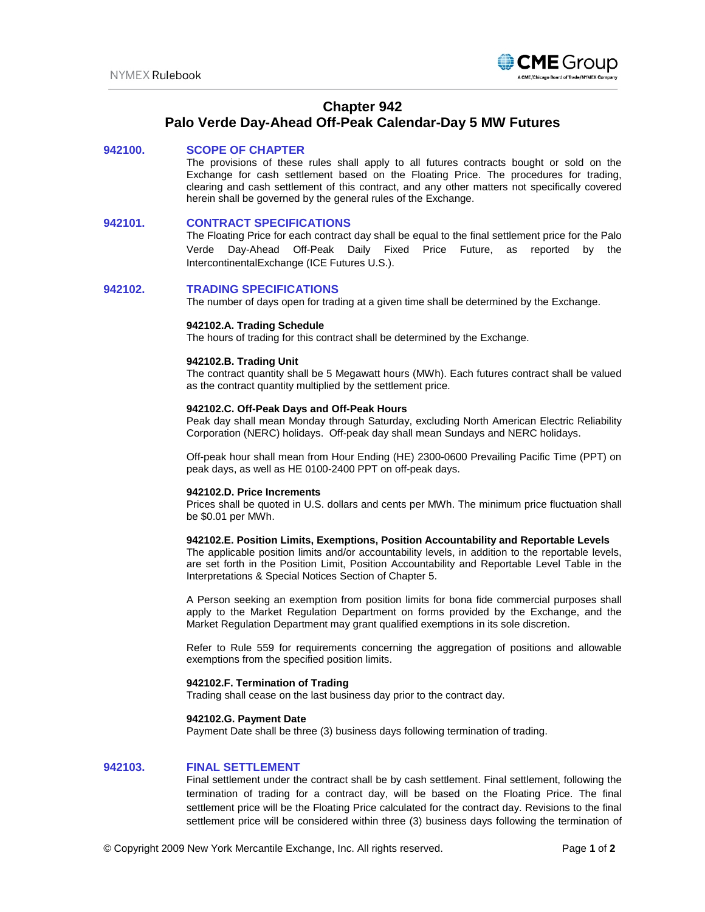

# **Chapter 942**

# **Palo Verde Day-Ahead Off-Peak Calendar-Day 5 MW Futures**

# **942100. SCOPE OF CHAPTER**

The provisions of these rules shall apply to all futures contracts bought or sold on the Exchange for cash settlement based on the Floating Price. The procedures for trading, clearing and cash settlement of this contract, and any other matters not specifically covered herein shall be governed by the general rules of the Exchange.

# **942101. CONTRACT SPECIFICATIONS**

The Floating Price for each contract day shall be equal to the final settlement price for the Palo Verde Day-Ahead Off-Peak Daily Fixed Price Future, as reported by the IntercontinentalExchange (ICE Futures U.S.).

# **942102. TRADING SPECIFICATIONS**

The number of days open for trading at a given time shall be determined by the Exchange.

### **942102.A. Trading Schedule**

The hours of trading for this contract shall be determined by the Exchange.

# **942102.B. Trading Unit**

The contract quantity shall be 5 Megawatt hours (MWh). Each futures contract shall be valued as the contract quantity multiplied by the settlement price.

#### **942102.C. Off-Peak Days and Off-Peak Hours**

Peak day shall mean Monday through Saturday, excluding North American Electric Reliability Corporation (NERC) holidays. Off-peak day shall mean Sundays and NERC holidays.

Off-peak hour shall mean from Hour Ending (HE) 2300-0600 Prevailing Pacific Time (PPT) on peak days, as well as HE 0100-2400 PPT on off-peak days.

#### **942102.D. Price Increments**

Prices shall be quoted in U.S. dollars and cents per MWh. The minimum price fluctuation shall be \$0.01 per MWh.

#### **942102.E. Position Limits, Exemptions, Position Accountability and Reportable Levels**

The applicable position limits and/or accountability levels, in addition to the reportable levels, are set forth in the Position Limit, Position Accountability and Reportable Level Table in the Interpretations & Special Notices Section of Chapter 5.

A Person seeking an exemption from position limits for bona fide commercial purposes shall apply to the Market Regulation Department on forms provided by the Exchange, and the Market Regulation Department may grant qualified exemptions in its sole discretion.

Refer to Rule 559 for requirements concerning the aggregation of positions and allowable exemptions from the specified position limits.

# **942102.F. Termination of Trading**

Trading shall cease on the last business day prior to the contract day.

#### **942102.G. Payment Date**

Payment Date shall be three (3) business days following termination of trading.

# **942103. FINAL SETTLEMENT**

Final settlement under the contract shall be by cash settlement. Final settlement, following the termination of trading for a contract day, will be based on the Floating Price. The final settlement price will be the Floating Price calculated for the contract day. Revisions to the final settlement price will be considered within three (3) business days following the termination of